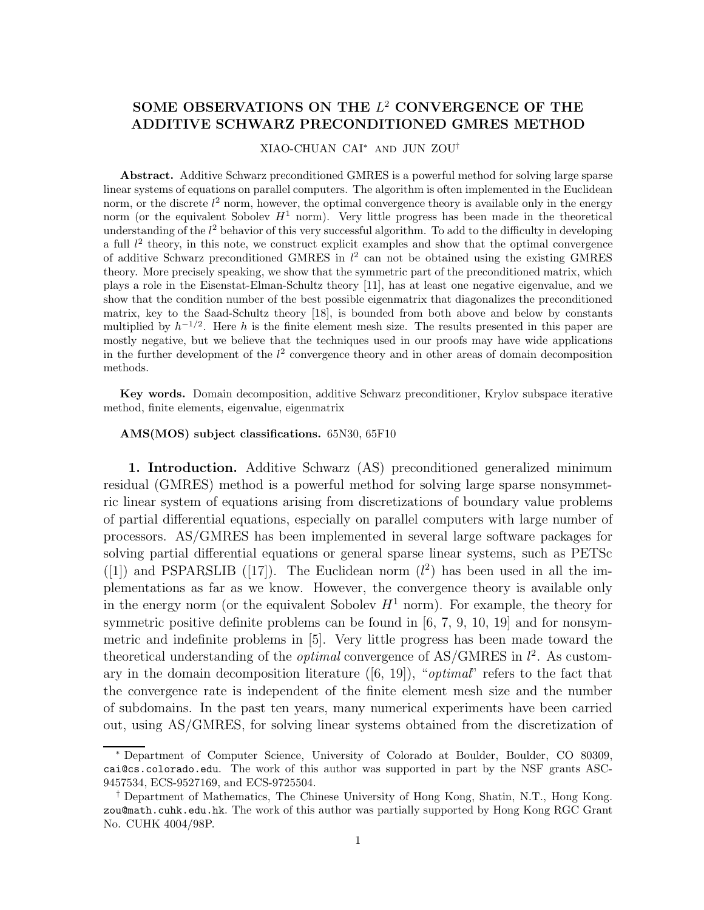## SOME OBSERVATIONS ON THE  $L^2$  CONVERGENCE OF THE **ADDITIVE SCHWARZ PRECONDITIONED GMRES METHOD**

XIAO-CHUAN CAI<sup>∗</sup> AND JUN ZOU†

**Abstract.** Additive Schwarz preconditioned GMRES is a powerful method for solving large sparse linear systems of equations on parallel computers. The algorithm is often implemented in the Euclidean norm, or the discrete  $l^2$  norm, however, the optimal convergence theory is available only in the energy norm (or the equivalent Sobolev  $H<sup>1</sup>$  norm). Very little progress has been made in the theoretical understanding of the  $l^2$  behavior of this very successful algorithm. To add to the difficulty in developing a full  $l^2$  theory, in this note, we construct explicit examples and show that the optimal convergence of additive Schwarz preconditioned GMRES in  $l^2$  can not be obtained using the existing GMRES theory. More precisely speaking, we show that the symmetric part of the preconditioned matrix, which plays a role in the Eisenstat-Elman-Schultz theory [11], has at least one negative eigenvalue, and we show that the condition number of the best possible eigenmatrix that diagonalizes the preconditioned matrix, key to the Saad-Schultz theory [18], is bounded from both above and below by constants multiplied by  $h^{-1/2}$ . Here h is the finite element mesh size. The results presented in this paper are mostly negative, but we believe that the techniques used in our proofs may have wide applications in the further development of the  $l^2$  convergence theory and in other areas of domain decomposition methods.

**Key words.** Domain decomposition, additive Schwarz preconditioner, Krylov subspace iterative method, finite elements, eigenvalue, eigenmatrix

## **AMS(MOS) subject classifications.** 65N30, 65F10

**1. Introduction.** Additive Schwarz (AS) preconditioned generalized minimum residual (GMRES) method is a powerful method for solving large sparse nonsymmetric linear system of equations arising from discretizations of boundary value problems of partial differential equations, especially on parallel computers with large number of processors. AS/GMRES has been implemented in several large software packages for solving partial differential equations or general sparse linear systems, such as PETSc ([1]) and PSPARSLIB ([17]). The Euclidean norm  $(l^2)$  has been used in all the implementations as far as we know. However, the convergence theory is available only in the energy norm (or the equivalent Sobolev  $H^1$  norm). For example, the theory for symmetric positive definite problems can be found in [6, 7, 9, 10, 19] and for nonsymmetric and indefinite problems in [5]. Very little progress has been made toward the theoretical understanding of the *optimal* convergence of  $AS/GMRES$  in  $l^2$ . As customary in the domain decomposition literature  $([6, 19])$ , "*optimal*" refers to the fact that the convergence rate is independent of the finite element mesh size and the number of subdomains. In the past ten years, many numerical experiments have been carried out, using AS/GMRES, for solving linear systems obtained from the discretization of

<sup>∗</sup> Department of Computer Science, University of Colorado at Boulder, Boulder, CO 80309, cai@cs.colorado.edu. The work of this author was supported in part by the NSF grants ASC-9457534, ECS-9527169, and ECS-9725504.

<sup>†</sup> Department of Mathematics, The Chinese University of Hong Kong, Shatin, N.T., Hong Kong. zou@math.cuhk.edu.hk. The work of this author was partially supported by Hong Kong RGC Grant No. CUHK 4004/98P.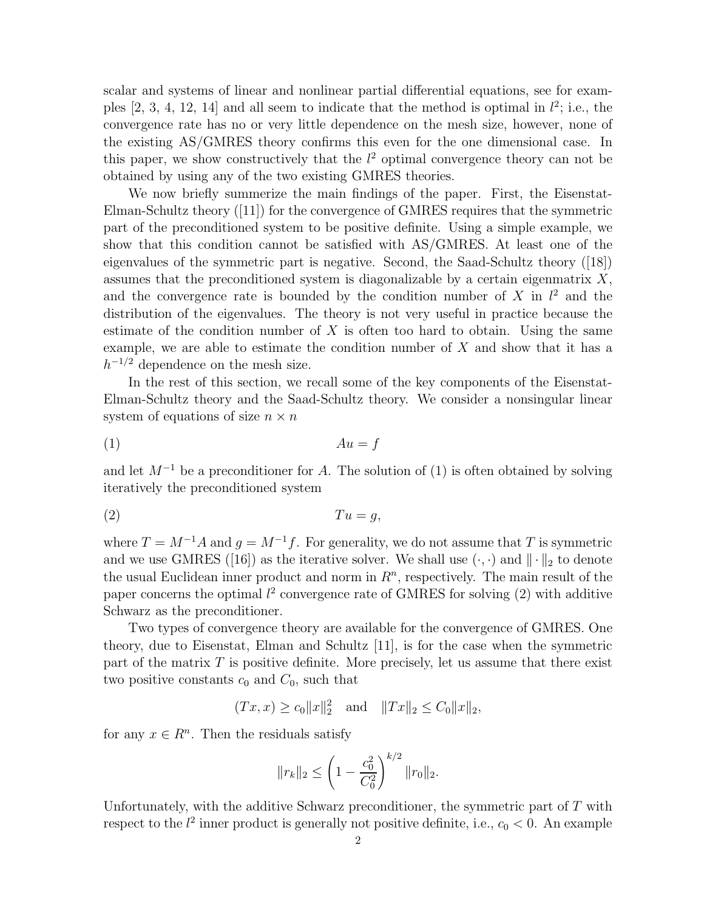scalar and systems of linear and nonlinear partial differential equations, see for examples  $[2, 3, 4, 12, 14]$  and all seem to indicate that the method is optimal in  $l^2$ ; i.e., the convergence rate has no or very little dependence on the mesh size, however, none of the existing AS/GMRES theory confirms this even for the one dimensional case. In this paper, we show constructively that the  $l^2$  optimal convergence theory can not be obtained by using any of the two existing GMRES theories.

We now briefly summerize the main findings of the paper. First, the Eisenstat-Elman-Schultz theory ([11]) for the convergence of GMRES requires that the symmetric part of the preconditioned system to be positive definite. Using a simple example, we show that this condition cannot be satisfied with AS/GMRES. At least one of the eigenvalues of the symmetric part is negative. Second, the Saad-Schultz theory ([18]) assumes that the preconditioned system is diagonalizable by a certain eigenmatrix  $X$ , and the convergence rate is bounded by the condition number of  $X$  in  $l^2$  and the distribution of the eigenvalues. The theory is not very useful in practice because the estimate of the condition number of  $X$  is often too hard to obtain. Using the same example, we are able to estimate the condition number of  $X$  and show that it has a  $h^{-1/2}$  dependence on the mesh size.

In the rest of this section, we recall some of the key components of the Eisenstat-Elman-Schultz theory and the Saad-Schultz theory. We consider a nonsingular linear system of equations of size  $n \times n$ 

$$
(1) \t\t Au = f
$$

and let  $M^{-1}$  be a preconditioner for A. The solution of (1) is often obtained by solving iteratively the preconditioned system

$$
(2) \t\t T u = g,
$$

where  $T = M^{-1}A$  and  $g = M^{-1}f$ . For generality, we do not assume that T is symmetric and we use GMRES ([16]) as the iterative solver. We shall use  $(\cdot, \cdot)$  and  $\|\cdot\|_2$  to denote the usual Euclidean inner product and norm in  $R<sup>n</sup>$ , respectively. The main result of the paper concerns the optimal  $l^2$  convergence rate of GMRES for solving (2) with additive Schwarz as the preconditioner.

Two types of convergence theory are available for the convergence of GMRES. One theory, due to Eisenstat, Elman and Schultz [11], is for the case when the symmetric part of the matrix  $T$  is positive definite. More precisely, let us assume that there exist two positive constants  $c_0$  and  $C_0$ , such that

$$
(Tx, x) \ge c_0 ||x||_2^2
$$
 and  $||Tx||_2 \le C_0 ||x||_2$ ,

for any  $x \in R^n$ . Then the residuals satisfy

$$
||r_k||_2 \leq \left(1 - \frac{c_0^2}{C_0^2}\right)^{k/2} ||r_0||_2.
$$

Unfortunately, with the additive Schwarz preconditioner, the symmetric part of  $T$  with respect to the  $l^2$  inner product is generally not positive definite, i.e.,  $c_0 < 0$ . An example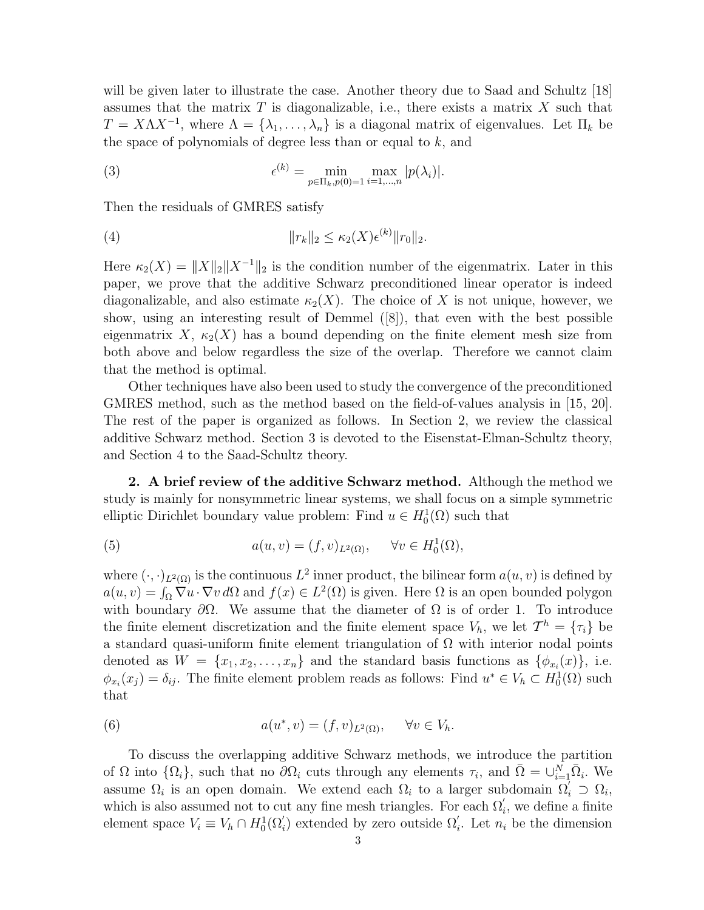will be given later to illustrate the case. Another theory due to Saad and Schultz [18] assumes that the matrix  $T$  is diagonalizable, i.e., there exists a matrix  $X$  such that  $T = X\Lambda X^{-1}$ , where  $\Lambda = {\lambda_1, \ldots, \lambda_n}$  is a diagonal matrix of eigenvalues. Let  $\Pi_k$  be the space of polynomials of degree less than or equal to  $k$ , and

(3) 
$$
\epsilon^{(k)} = \min_{p \in \Pi_k, p(0) = 1} \max_{i=1,\dots,n} |p(\lambda_i)|.
$$

Then the residuals of GMRES satisfy

(4) 
$$
||r_k||_2 \leq \kappa_2(X)\epsilon^{(k)}||r_0||_2.
$$

Here  $\kappa_2(X) = ||X||_2||X^{-1}||_2$  is the condition number of the eigenmatrix. Later in this paper, we prove that the additive Schwarz preconditioned linear operator is indeed diagonalizable, and also estimate  $\kappa_2(X)$ . The choice of X is not unique, however, we show, using an interesting result of Demmel ([8]), that even with the best possible eigenmatrix X,  $\kappa_2(X)$  has a bound depending on the finite element mesh size from both above and below regardless the size of the overlap. Therefore we cannot claim that the method is optimal.

Other techniques have also been used to study the convergence of the preconditioned GMRES method, such as the method based on the field-of-values analysis in [15, 20]. The rest of the paper is organized as follows. In Section 2, we review the classical additive Schwarz method. Section 3 is devoted to the Eisenstat-Elman-Schultz theory, and Section 4 to the Saad-Schultz theory.

**2. A brief review of the additive Schwarz method.** Although the method we study is mainly for nonsymmetric linear systems, we shall focus on a simple symmetric elliptic Dirichlet boundary value problem: Find  $u \in H_0^1(\Omega)$  such that

(5) 
$$
a(u,v) = (f,v)_{L^2(\Omega)}, \quad \forall v \in H_0^1(\Omega),
$$

where  $(\cdot, \cdot)_{L^2(\Omega)}$  is the continuous  $L^2$  inner product, the bilinear form  $a(u, v)$  is defined by  $a(u, v) = \int_{\Omega} \nabla u \cdot \nabla v d\Omega$  and  $f(x) \in L^2(\Omega)$  is given. Here  $\Omega$  is an open bounded polygon with boundary  $\partial\Omega$ . We assume that the diameter of  $\Omega$  is of order 1. To introduce the finite element discretization and the finite element space  $V_h$ , we let  $\mathcal{T}^h = {\tau_i}$  be a standard quasi-uniform finite element triangulation of  $\Omega$  with interior nodal points denoted as  $W = \{x_1, x_2, \ldots, x_n\}$  and the standard basis functions as  $\{\phi_{x_i}(x)\}\$ , i.e.  $\phi_{x_i}(x_j) = \delta_{ij}$ . The finite element problem reads as follows: Find  $u^* \in V_h \subset H_0^1(\Omega)$  such that

(6) 
$$
a(u^*, v) = (f, v)_{L^2(\Omega)}, \quad \forall v \in V_h.
$$

To discuss the overlapping additive Schwarz methods, we introduce the partition of  $\Omega$  into  $\{\Omega_i\}$ , such that no  $\partial\Omega_i$  cuts through any elements  $\tau_i$ , and  $\overline{\Omega} = \bigcup_{i=1}^N \overline{\Omega}_i$ . We assume  $\Omega_i$  is an open domain. We extend each  $\Omega_i$  to a larger subdomain  $\Omega'_i \supset \Omega_i$ , which is also assumed not to cut any fine mesh triangles. For each  $\Omega_i'$ , we define a finite element space  $V_i \equiv V_h \cap H_0^1(\Omega'_i)$  extended by zero outside  $\Omega'_i$ . Let  $n_i$  be the dimension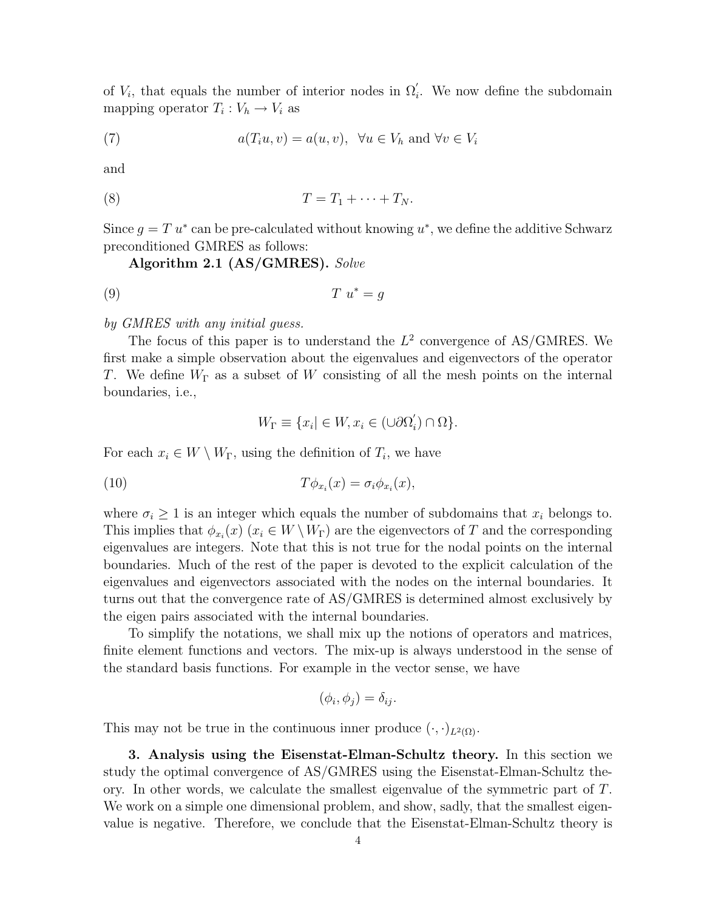of  $V_i$ , that equals the number of interior nodes in  $\Omega'_i$ . We now define the subdomain mapping operator  $T_i : V_h \to V_i$  as

(7) 
$$
a(T_i u, v) = a(u, v), \forall u \in V_h \text{ and } \forall v \in V_i
$$

and

$$
(8) \t\t T = T_1 + \cdots + T_N.
$$

Since  $g = T u^*$  can be pre-calculated without knowing  $u^*$ , we define the additive Schwarz preconditioned GMRES as follows:

**Algorithm 2.1 (AS/GMRES).** Solve

$$
(9) \t\t T \t u^* = g
$$

by GMRES with any initial guess.

The focus of this paper is to understand the  $L^2$  convergence of AS/GMRES. We first make a simple observation about the eigenvalues and eigenvectors of the operator T. We define  $W_{\Gamma}$  as a subset of W consisting of all the mesh points on the internal boundaries, i.e.,

$$
W_{\Gamma} \equiv \{x_i | \in W, x_i \in (\cup \partial \Omega'_i) \cap \Omega\}.
$$

For each  $x_i \in W \setminus W_{\Gamma}$ , using the definition of  $T_i$ , we have

(10) 
$$
T\phi_{x_i}(x) = \sigma_i\phi_{x_i}(x),
$$

where  $\sigma_i \geq 1$  is an integer which equals the number of subdomains that  $x_i$  belongs to. This implies that  $\phi_{x_i}(x)$   $(x_i \in W \setminus W_\Gamma)$  are the eigenvectors of T and the corresponding eigenvalues are integers. Note that this is not true for the nodal points on the internal boundaries. Much of the rest of the paper is devoted to the explicit calculation of the eigenvalues and eigenvectors associated with the nodes on the internal boundaries. It turns out that the convergence rate of AS/GMRES is determined almost exclusively by the eigen pairs associated with the internal boundaries.

To simplify the notations, we shall mix up the notions of operators and matrices, finite element functions and vectors. The mix-up is always understood in the sense of the standard basis functions. For example in the vector sense, we have

$$
(\phi_i, \phi_j) = \delta_{ij}.
$$

This may not be true in the continuous inner produce  $(\cdot, \cdot)_{L^2(\Omega)}$ .

**3. Analysis using the Eisenstat-Elman-Schultz theory.** In this section we study the optimal convergence of AS/GMRES using the Eisenstat-Elman-Schultz theory. In other words, we calculate the smallest eigenvalue of the symmetric part of T. We work on a simple one dimensional problem, and show, sadly, that the smallest eigenvalue is negative. Therefore, we conclude that the Eisenstat-Elman-Schultz theory is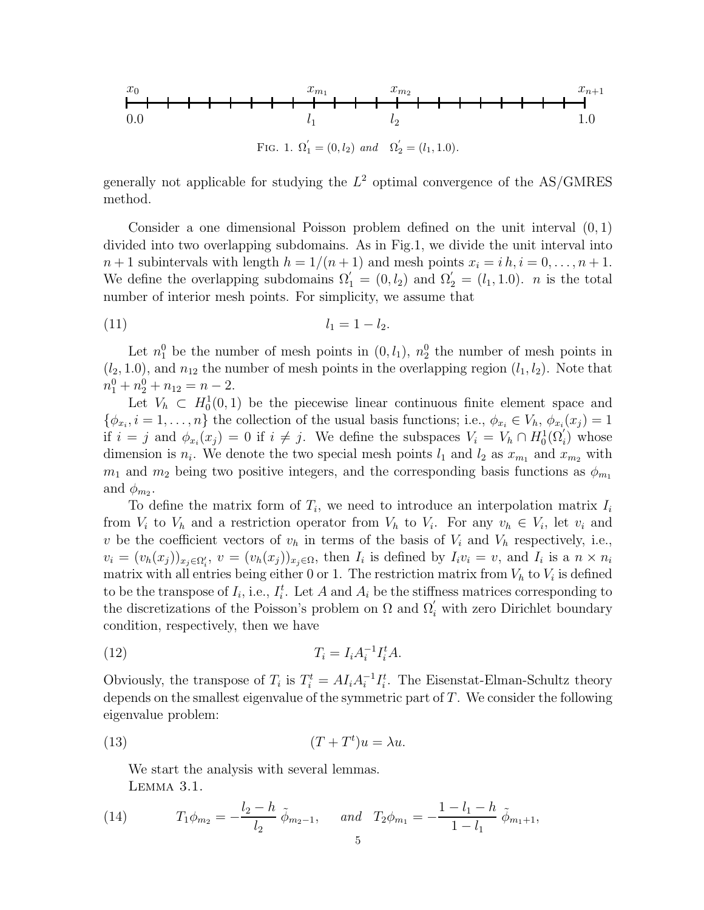

generally not applicable for studying the  $L^2$  optimal convergence of the AS/GMRES method.

Consider a one dimensional Poisson problem defined on the unit interval  $(0, 1)$ divided into two overlapping subdomains. As in Fig.1, we divide the unit interval into  $n+1$  subintervals with length  $h = 1/(n+1)$  and mesh points  $x_i = i h, i = 0, \ldots, n+1$ . We define the overlapping subdomains  $\Omega'_1 = (0, l_2)$  and  $\Omega'_2 = (l_1, 1.0)$ . *n* is the total number of interior mesh points. For simplicity, we assume that

$$
(11) \t\t\t l_1 = 1 - l_2.
$$

Let  $n_1^0$  be the number of mesh points in  $(0, l_1)$ ,  $n_2^0$  the number of mesh points in  $(l_2, 1.0)$ , and  $n_{12}$  the number of mesh points in the overlapping region  $(l_1, l_2)$ . Note that  $n_1^0 + n_2^0 + n_{12} = n - 2.$ 

Let  $V_h \subset H_0^1(0,1)$  be the piecewise linear continuous finite element space and  $\{\phi_{x_i}, i=1,\ldots,n\}$  the collection of the usual basis functions; i.e.,  $\phi_{x_i} \in V_h$ ,  $\phi_{x_i}(x_j)=1$ if  $i = j$  and  $\phi_{x_i}(x_j) = 0$  if  $i \neq j$ . We define the subspaces  $V_i = V_h \cap H_0^1(\Omega'_i)$  whose dimension is  $n_i$ . We denote the two special mesh points  $l_1$  and  $l_2$  as  $x_{m_1}$  and  $x_{m_2}$  with  $m_1$  and  $m_2$  being two positive integers, and the corresponding basis functions as  $\phi_{m_1}$ and  $\phi_{m_2}$ .

To define the matrix form of  $T_i$ , we need to introduce an interpolation matrix  $I_i$ from  $V_i$  to  $V_h$  and a restriction operator from  $V_h$  to  $V_i$ . For any  $v_h \in V_i$ , let  $v_i$  and v be the coefficient vectors of  $v_h$  in terms of the basis of  $V_i$  and  $V_h$  respectively, i.e.,  $v_i = (v_h(x_j))_{x_j \in \Omega'_i}, v = (v_h(x_j))_{x_j \in \Omega},$  then  $I_i$  is defined by  $I_i v_i = v$ , and  $I_i$  is a  $n \times n_i$ matrix with all entries being either 0 or 1. The restriction matrix from  $V_h$  to  $V_i$  is defined to be the transpose of  $I_i$ , i.e.,  $I_i^t$ . Let A and  $A_i$  be the stiffness matrices corresponding to the discretizations of the Poisson's problem on  $\Omega$  and  $\Omega'_{i}$  with zero Dirichlet boundary condition, respectively, then we have

$$
(12)\qquad T_i = I_i A_i^{-1} I_i^t A.
$$

Obviously, the transpose of  $T_i$  is  $T_i^t = A I_i A_i^{-1} I_i^t$ . The Eisenstat-Elman-Schultz theory depends on the smallest eigenvalue of the symmetric part of  $T$ . We consider the following eigenvalue problem:

(13) 
$$
(T + T^t)u = \lambda u.
$$

We start the analysis with several lemmas. Lemma 3.1.

(14) 
$$
T_1 \phi_{m_2} = -\frac{l_2 - h}{l_2} \tilde{\phi}_{m_2 - 1}, \quad \text{and} \quad T_2 \phi_{m_1} = -\frac{1 - l_1 - h}{1 - l_1} \tilde{\phi}_{m_1 + 1},
$$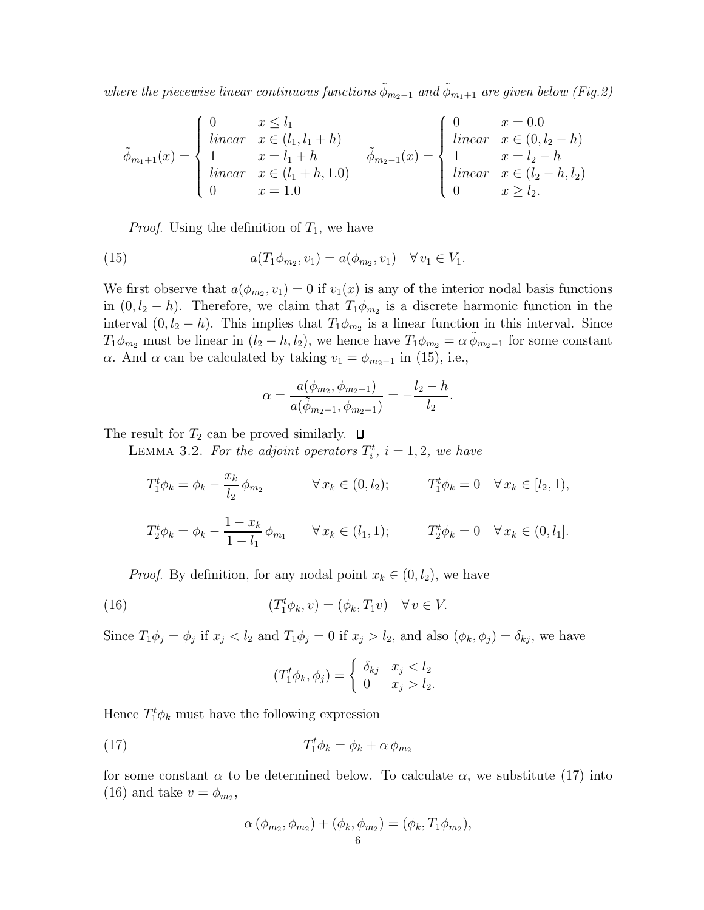where the piecewise linear continuous functions  $\tilde{\phi}_{m_2-1}$  and  $\tilde{\phi}_{m_1+1}$  are given below (Fig.2)

$$
\tilde{\phi}_{m_1+1}(x) = \begin{cases}\n0 & x \le l_1 \\
\text{linear} & x \in (l_1, l_1 + h) \\
1 & x = l_1 + h \\
\text{linear} & x \in (l_1 + h, 1.0) \\
0 & x = 1.0\n\end{cases} \quad \tilde{\phi}_{m_2-1}(x) = \begin{cases}\n0 & x = 0.0 \\
\text{linear} & x \in (0, l_2 - h) \\
1 & x = l_2 - h \\
\text{linear} & x \in (l_2 - h, l_2) \\
0 & x \ge l_2.\n\end{cases}
$$

*Proof.* Using the definition of  $T_1$ , we have

(15) 
$$
a(T_1 \phi_{m_2}, v_1) = a(\phi_{m_2}, v_1) \quad \forall v_1 \in V_1.
$$

We first observe that  $a(\phi_{m_2}, v_1) = 0$  if  $v_1(x)$  is any of the interior nodal basis functions in  $(0, l_2 - h)$ . Therefore, we claim that  $T_1 \phi_{m_2}$  is a discrete harmonic function in the interval  $(0, l_2 - h)$ . This implies that  $T_1 \phi_{m_2}$  is a linear function in this interval. Since  $T_1\phi_{m_2}$  must be linear in  $(l_2 - h, l_2)$ , we hence have  $T_1\phi_{m_2} = \alpha \phi_{m_2-1}$  for some constant α. And α can be calculated by taking  $v_1 = \phi_{m_2-1}$  in (15), i.e.,

$$
\alpha = \frac{a(\phi_{m_2}, \phi_{m_2-1})}{a(\tilde{\phi}_{m_2-1}, \phi_{m_2-1})} = -\frac{l_2 - h}{l_2}.
$$

The result for  $T_2$  can be proved similarly.  $\Box$ 

LEMMA 3.2. For the adjoint operators  $T_i^t$ ,  $i = 1, 2$ , we have

$$
T_1^t \phi_k = \phi_k - \frac{x_k}{l_2} \phi_{m_2} \qquad \forall x_k \in (0, l_2); \qquad T_1^t \phi_k = 0 \quad \forall x_k \in [l_2, 1),
$$
  

$$
T_2^t \phi_k = \phi_k - \frac{1 - x_k}{1 - l_1} \phi_{m_1} \qquad \forall x_k \in (l_1, 1); \qquad T_2^t \phi_k = 0 \quad \forall x_k \in (0, l_1].
$$

*Proof.* By definition, for any nodal point  $x_k \in (0, l_2)$ , we have

(16) 
$$
(T_1^t \phi_k, v) = (\phi_k, T_1 v) \quad \forall v \in V.
$$

Since  $T_1\phi_j = \phi_j$  if  $x_j < l_2$  and  $T_1\phi_j = 0$  if  $x_j > l_2$ , and also  $(\phi_k, \phi_j) = \delta_{kj}$ , we have

$$
(T_1^t \phi_k, \phi_j) = \begin{cases} \delta_{kj} & x_j < l_2 \\ 0 & x_j > l_2. \end{cases}
$$

Hence  $T_1^t \phi_k$  must have the following expression

$$
(17) \t\t T_1^t \phi_k = \phi_k + \alpha \phi_{m_2}
$$

for some constant  $\alpha$  to be determined below. To calculate  $\alpha$ , we substitute (17) into (16) and take  $v = \phi_{m_2}$ ,

$$
\alpha (\phi_{m_2}, \phi_{m_2}) + (\phi_k, \phi_{m_2}) = (\phi_k, T_1 \phi_{m_2}),
$$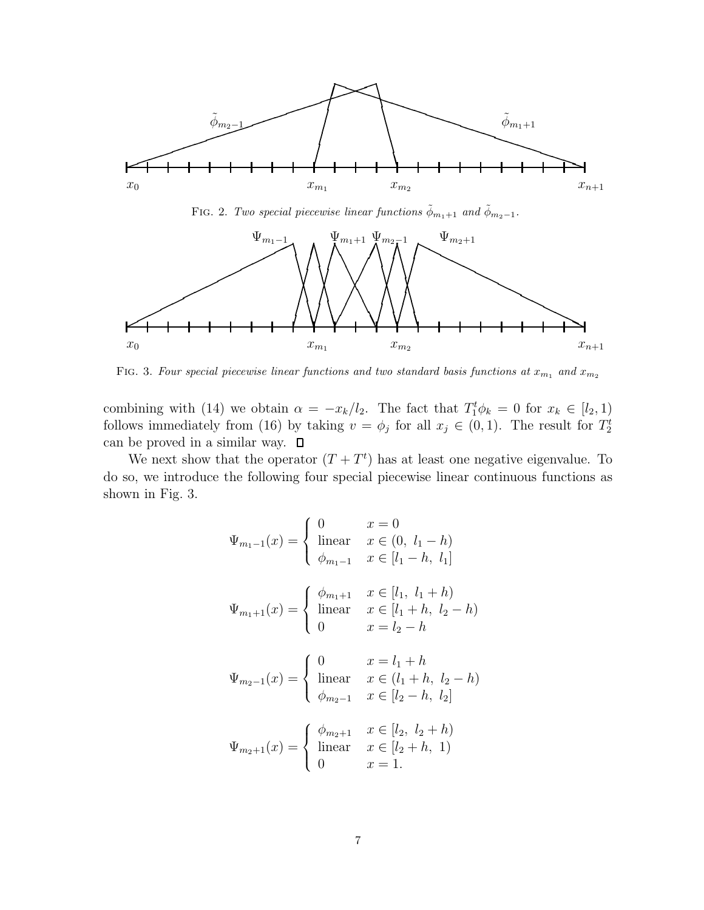

FIG. 2. Two special piecewise linear functions  $\tilde{\phi}_{m_1+1}$  and  $\tilde{\phi}_{m_2-1}$ .



FIG. 3. Four special piecewise linear functions and two standard basis functions at  $x_{m_1}$  and  $x_{m_2}$ 

combining with (14) we obtain  $\alpha = -x_k/l_2$ . The fact that  $T_1^t \phi_k = 0$  for  $x_k \in [l_2, 1)$ follows immediately from (16) by taking  $v = \phi_j$  for all  $x_j \in (0,1)$ . The result for  $T_2^t$ can be proved in a similar way.  $\square$ 

We next show that the operator  $(T+T<sup>t</sup>)$  has at least one negative eigenvalue. To do so, we introduce the following four special piecewise linear continuous functions as shown in Fig. 3.

$$
\Psi_{m_1-1}(x) = \begin{cases}\n0 & x = 0 \\
\text{linear} & x \in (0, l_1 - h) \\
\phi_{m_1-1} & x \in [l_1 - h, l_1] \\
\end{cases}
$$
\n
$$
\Psi_{m_1+1}(x) = \begin{cases}\n\phi_{m_1+1} & x \in [l_1, l_1 + h) \\
\text{linear} & x \in [l_1 + h, l_2 - h) \\
0 & x = l_2 - h\n\end{cases}
$$

$$
\Psi_{m_2-1}(x) = \begin{cases} 0 & x = l_1 + h \\ \text{linear} & x \in (l_1 + h, l_2 - h) \\ \phi_{m_2-1} & x \in [l_2 - h, l_2] \end{cases}
$$

$$
\Psi_{m_2+1}(x) = \begin{cases} \phi_{m_2+1} & x \in [l_2, l_2+h) \\ \text{linear} & x \in [l_2+h, 1) \\ 0 & x = 1. \end{cases}
$$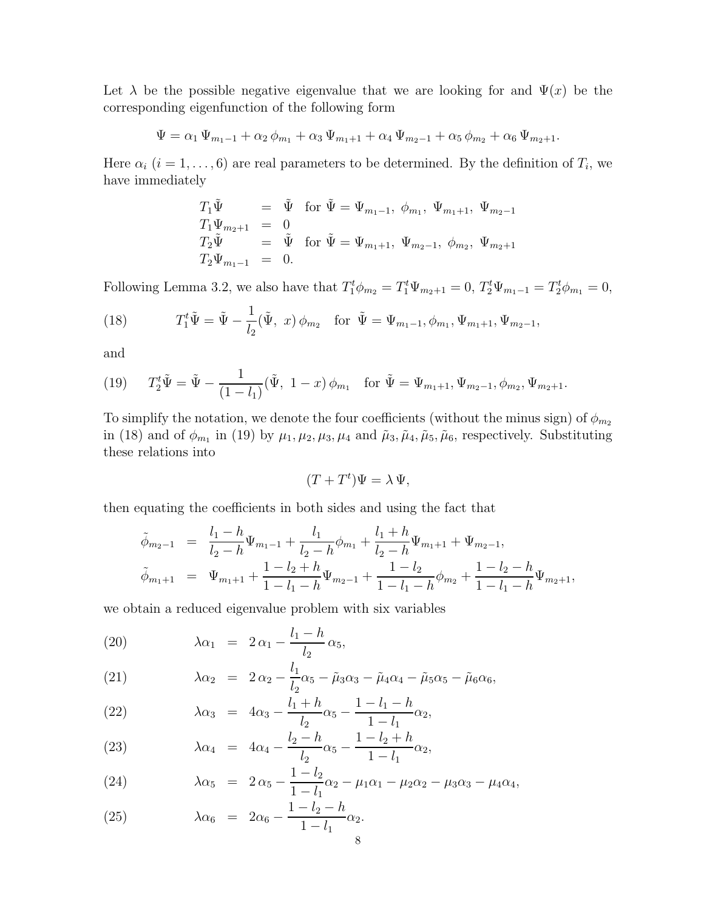Let  $\lambda$  be the possible negative eigenvalue that we are looking for and  $\Psi(x)$  be the corresponding eigenfunction of the following form

$$
\Psi = \alpha_1 \Psi_{m_1 - 1} + \alpha_2 \phi_{m_1} + \alpha_3 \Psi_{m_1 + 1} + \alpha_4 \Psi_{m_2 - 1} + \alpha_5 \phi_{m_2} + \alpha_6 \Psi_{m_2 + 1}.
$$

Here  $\alpha_i$   $(i = 1, \ldots, 6)$  are real parameters to be determined. By the definition of  $T_i$ , we have immediately

$$
T_1 \tilde{\Psi} = \tilde{\Psi} \text{ for } \tilde{\Psi} = \Psi_{m_1-1}, \phi_{m_1}, \Psi_{m_1+1}, \Psi_{m_2-1}
$$
  
\n
$$
T_1 \Psi_{m_2+1} = 0
$$
  
\n
$$
T_2 \tilde{\Psi} = \tilde{\Psi} \text{ for } \tilde{\Psi} = \Psi_{m_1+1}, \Psi_{m_2-1}, \phi_{m_2}, \Psi_{m_2+1}
$$
  
\n
$$
T_2 \Psi_{m_1-1} = 0.
$$

Following Lemma 3.2, we also have that  $T_1^t \phi_{m_2} = T_1^t \Psi_{m_2+1} = 0$ ,  $T_2^t \Psi_{m_1-1} = T_2^t \phi_{m_1} = 0$ ,

(18) 
$$
T_1^t \tilde{\Psi} = \tilde{\Psi} - \frac{1}{l_2} (\tilde{\Psi}, x) \phi_{m_2} \text{ for } \tilde{\Psi} = \Psi_{m_1 - 1}, \phi_{m_1}, \Psi_{m_1 + 1}, \Psi_{m_2 - 1},
$$

and

(19) 
$$
T_2^t \tilde{\Psi} = \tilde{\Psi} - \frac{1}{(1 - l_1)} (\tilde{\Psi}, 1 - x) \phi_{m_1} \text{ for } \tilde{\Psi} = \Psi_{m_1 + 1}, \Psi_{m_2 - 1}, \phi_{m_2}, \Psi_{m_2 + 1}.
$$

To simplify the notation, we denote the four coefficients (without the minus sign) of  $\phi_{m_2}$ in (18) and of  $\phi_{m_1}$  in (19) by  $\mu_1, \mu_2, \mu_3, \mu_4$  and  $\tilde{\mu}_3, \tilde{\mu}_4, \tilde{\mu}_5, \tilde{\mu}_6$ , respectively. Substituting these relations into

$$
(T + T^t)\Psi = \lambda \Psi,
$$

then equating the coefficients in both sides and using the fact that

$$
\tilde{\phi}_{m_2-1} = \frac{l_1 - h}{l_2 - h} \Psi_{m_1-1} + \frac{l_1}{l_2 - h} \phi_{m_1} + \frac{l_1 + h}{l_2 - h} \Psi_{m_1+1} + \Psi_{m_2-1},
$$
\n
$$
\tilde{\phi}_{m_1+1} = \Psi_{m_1+1} + \frac{1 - l_2 + h}{1 - l_1 - h} \Psi_{m_2-1} + \frac{1 - l_2}{1 - l_1 - h} \phi_{m_2} + \frac{1 - l_2 - h}{1 - l_1 - h} \Psi_{m_2+1},
$$

we obtain a reduced eigenvalue problem with six variables

(20) 
$$
\lambda \alpha_1 = 2 \alpha_1 - \frac{l_1 - h}{l_2} \alpha_5,
$$

(21) 
$$
\lambda \alpha_2 = 2 \alpha_2 - \frac{l_1}{l_2} \alpha_5 - \tilde{\mu}_3 \alpha_3 - \tilde{\mu}_4 \alpha_4 - \tilde{\mu}_5 \alpha_5 - \tilde{\mu}_6 \alpha_6,
$$

(22) 
$$
\lambda \alpha_3 = 4\alpha_3 - \frac{l_1 + h}{l_2} \alpha_5 - \frac{1 - l_1 - h}{1 - l_1} \alpha_2,
$$

(23) 
$$
\lambda \alpha_4 = 4\alpha_4 - \frac{l_2 - h}{l_2} \alpha_5 - \frac{1 - l_2 + h}{1 - l_1} \alpha_2,
$$

(24) 
$$
\lambda \alpha_5 = 2 \alpha_5 - \frac{1 - l_2}{1 - l_1} \alpha_2 - \mu_1 \alpha_1 - \mu_2 \alpha_2 - \mu_3 \alpha_3 - \mu_4 \alpha_4,
$$

(25) 
$$
\lambda \alpha_6 = 2\alpha_6 - \frac{1 - l_2 - h}{1 - l_1} \alpha_2.
$$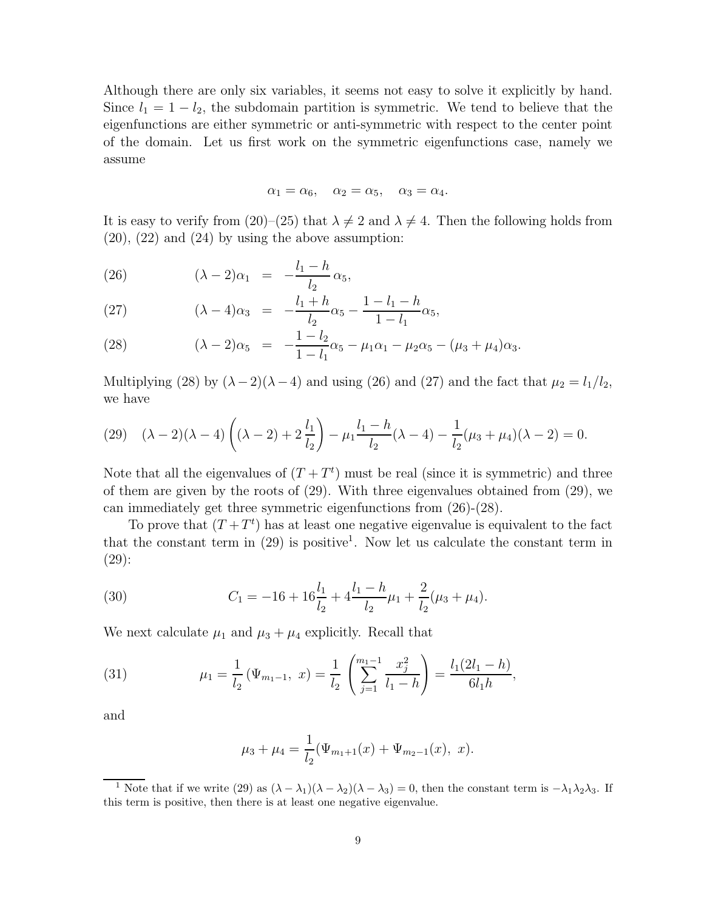Although there are only six variables, it seems not easy to solve it explicitly by hand. Since  $l_1 = 1 - l_2$ , the subdomain partition is symmetric. We tend to believe that the eigenfunctions are either symmetric or anti-symmetric with respect to the center point of the domain. Let us first work on the symmetric eigenfunctions case, namely we assume

$$
\alpha_1 = \alpha_6, \quad \alpha_2 = \alpha_5, \quad \alpha_3 = \alpha_4.
$$

It is easy to verify from (20)–(25) that  $\lambda \neq 2$  and  $\lambda \neq 4$ . Then the following holds from  $(20)$ ,  $(22)$  and  $(24)$  by using the above assumption:

(26) 
$$
(\lambda - 2)\alpha_1 = -\frac{l_1 - h}{l_2} \alpha_5,
$$

(27) 
$$
(\lambda - 4)\alpha_3 = -\frac{l_1 + h}{l_2}\alpha_5 - \frac{1 - l_1 - h}{1 - l_1}\alpha_5,
$$

(28) 
$$
(\lambda - 2)\alpha_5 = -\frac{1 - l_2}{1 - l_1}\alpha_5 - \mu_1\alpha_1 - \mu_2\alpha_5 - (\mu_3 + \mu_4)\alpha_3.
$$

Multiplying (28) by  $(\lambda - 2)(\lambda - 4)$  and using (26) and (27) and the fact that  $\mu_2 = l_1/l_2$ , we have

(29) 
$$
(\lambda - 2)(\lambda - 4)\left((\lambda - 2) + 2\frac{l_1}{l_2}\right) - \mu_1 \frac{l_1 - h}{l_2}(\lambda - 4) - \frac{1}{l_2}(\mu_3 + \mu_4)(\lambda - 2) = 0.
$$

Note that all the eigenvalues of  $(T+T<sup>t</sup>)$  must be real (since it is symmetric) and three of them are given by the roots of (29). With three eigenvalues obtained from (29), we can immediately get three symmetric eigenfunctions from (26)-(28).

To prove that  $(T+T<sup>t</sup>)$  has at least one negative eigenvalue is equivalent to the fact that the constant term in  $(29)$  is positive<sup>1</sup>. Now let us calculate the constant term in (29):

(30) 
$$
C_1 = -16 + 16\frac{l_1}{l_2} + 4\frac{l_1 - h}{l_2}\mu_1 + \frac{2}{l_2}(\mu_3 + \mu_4).
$$

We next calculate  $\mu_1$  and  $\mu_3 + \mu_4$  explicitly. Recall that

(31) 
$$
\mu_1 = \frac{1}{l_2} (\Psi_{m_1-1}, x) = \frac{1}{l_2} \left( \sum_{j=1}^{m_1-1} \frac{x_j^2}{l_1 - h} \right) = \frac{l_1(2l_1 - h)}{6l_1h},
$$

and

$$
\mu_3 + \mu_4 = \frac{1}{l_2}(\Psi_{m_1+1}(x) + \Psi_{m_2-1}(x), x).
$$

<sup>&</sup>lt;sup>1</sup> Note that if we write (29) as  $(\lambda - \lambda_1)(\lambda - \lambda_2)(\lambda - \lambda_3) = 0$ , then the constant term is  $-\lambda_1\lambda_2\lambda_3$ . If this term is positive, then there is at least one negative eigenvalue.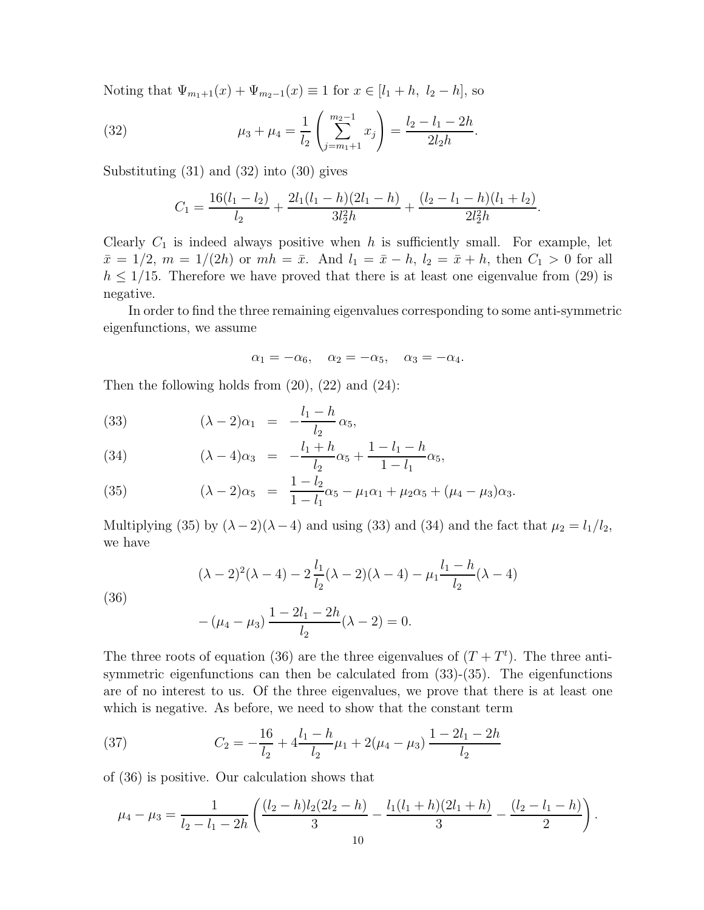Noting that  $\Psi_{m_1+1}(x)+\Psi_{m_2-1}(x) \equiv 1$  for  $x \in [l_1+h, l_2-h]$ , so

(32) 
$$
\mu_3 + \mu_4 = \frac{1}{l_2} \left( \sum_{j=m_1+1}^{m_2-1} x_j \right) = \frac{l_2 - l_1 - 2h}{2l_2h}.
$$

Substituting (31) and (32) into (30) gives

$$
C_1 = \frac{16(l_1 - l_2)}{l_2} + \frac{2l_1(l_1 - h)(2l_1 - h)}{3l_2^2h} + \frac{(l_2 - l_1 - h)(l_1 + l_2)}{2l_2^2h}.
$$

Clearly  $C_1$  is indeed always positive when h is sufficiently small. For example, let  $\bar{x} = 1/2, m = 1/(2h)$  or  $mh = \bar{x}$ . And  $l_1 = \bar{x} - h$ ,  $l_2 = \bar{x} + h$ , then  $C_1 > 0$  for all  $h \leq 1/15$ . Therefore we have proved that there is at least one eigenvalue from (29) is negative.

In order to find the three remaining eigenvalues corresponding to some anti-symmetric eigenfunctions, we assume

$$
\alpha_1 = -\alpha_6, \quad \alpha_2 = -\alpha_5, \quad \alpha_3 = -\alpha_4.
$$

Then the following holds from  $(20)$ ,  $(22)$  and  $(24)$ :

(33) 
$$
(\lambda - 2)\alpha_1 = -\frac{l_1 - h}{l_2} \alpha_5,
$$

(34) 
$$
(\lambda - 4)\alpha_3 = -\frac{l_1 + h}{l_2}\alpha_5 + \frac{1 - l_1 - h}{1 - l_1}\alpha_5,
$$

(35) 
$$
(\lambda - 2)\alpha_5 = \frac{1 - l_2}{1 - l_1}\alpha_5 - \mu_1\alpha_1 + \mu_2\alpha_5 + (\mu_4 - \mu_3)\alpha_3.
$$

Multiplying (35) by  $(\lambda - 2)(\lambda - 4)$  and using (33) and (34) and the fact that  $\mu_2 = l_1/l_2$ , we have

$$
(\lambda - 2)^2(\lambda - 4) - 2\frac{l_1}{l_2}(\lambda - 2)(\lambda - 4) - \mu_1 \frac{l_1 - h}{l_2}(\lambda - 4)
$$

(36)

$$
-(\mu_4 - \mu_3) \frac{1 - 2l_1 - 2h}{l_2}(\lambda - 2) = 0.
$$

The three roots of equation (36) are the three eigenvalues of  $(T+T<sup>t</sup>)$ . The three antisymmetric eigenfunctions can then be calculated from (33)-(35). The eigenfunctions are of no interest to us. Of the three eigenvalues, we prove that there is at least one which is negative. As before, we need to show that the constant term

(37) 
$$
C_2 = -\frac{16}{l_2} + 4\frac{l_1 - h}{l_2}\mu_1 + 2(\mu_4 - \mu_3)\frac{1 - 2l_1 - 2h}{l_2}
$$

of (36) is positive. Our calculation shows that

$$
\mu_4 - \mu_3 = \frac{1}{l_2 - l_1 - 2h} \left( \frac{(l_2 - h)l_2(2l_2 - h)}{3} - \frac{l_1(l_1 + h)(2l_1 + h)}{3} - \frac{(l_2 - l_1 - h)}{2} \right).
$$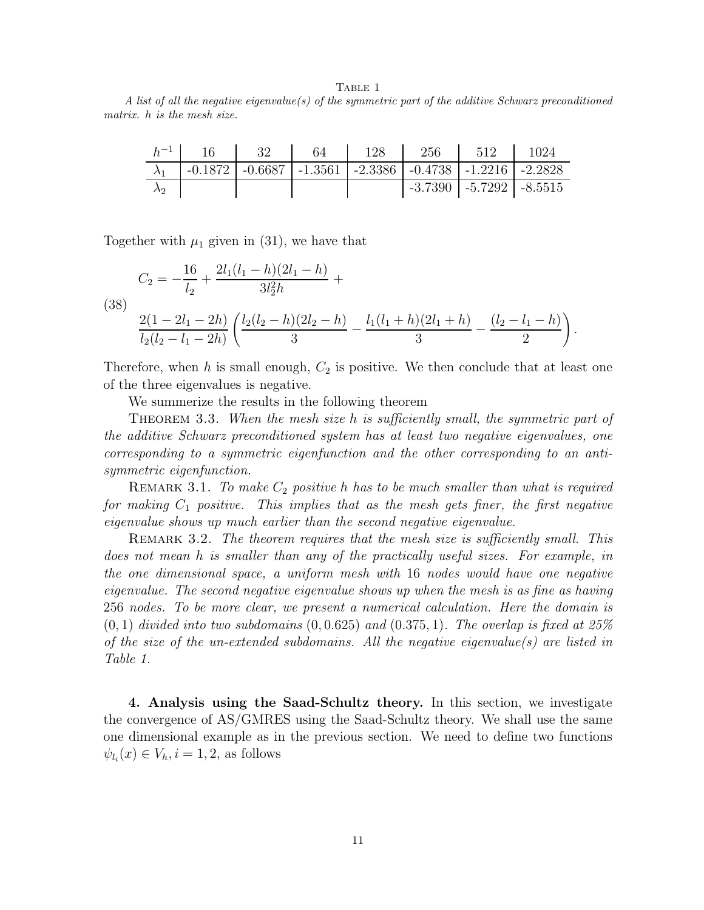TABLE 1

A list of all the negative eigenvalue(s) of the symmetric part of the additive Schwarz preconditioned matrix. h is the mesh size.

| $h^{-1}$ | $-16$ | - 32 | 64 | $128$ $256$ $512$ $1024$                                                          |                             |  |
|----------|-------|------|----|-----------------------------------------------------------------------------------|-----------------------------|--|
|          |       |      |    | $-0.1872$   $-0.6687$   $-1.3561$   $-2.3386$   $-0.4738$   $-1.2216$   $-2.2828$ |                             |  |
|          |       |      |    |                                                                                   | -3.7390   -5.7292   -8.5515 |  |

Together with  $\mu_1$  given in (31), we have that

(38)  
\n
$$
C_2 = -\frac{16}{l_2} + \frac{2l_1(l_1 - h)(2l_1 - h)}{3l_2^2h} +
$$
\n
$$
\frac{2(1 - 2l_1 - 2h)}{l_2(l_2 - l_1 - 2h)} \left( \frac{l_2(l_2 - h)(2l_2 - h)}{3} - \frac{l_1(l_1 + h)(2l_1 + h)}{3} - \frac{(l_2 - l_1 - h)}{2} \right).
$$

Therefore, when h is small enough,  $C_2$  is positive. We then conclude that at least one of the three eigenvalues is negative.

We summerize the results in the following theorem

THEOREM 3.3. When the mesh size h is sufficiently small, the symmetric part of the additive Schwarz preconditioned system has at least two negative eigenvalues, one corresponding to a symmetric eigenfunction and the other corresponding to an antisymmetric eigenfunction.

REMARK 3.1. To make  $C_2$  positive h has to be much smaller than what is required for making  $C_1$  positive. This implies that as the mesh gets finer, the first negative eigenvalue shows up much earlier than the second negative eigenvalue.

REMARK 3.2. The theorem requires that the mesh size is sufficiently small. This does not mean h is smaller than any of the practically useful sizes. For example, in the one dimensional space, a uniform mesh with 16 nodes would have one negative eigenvalue. The second negative eigenvalue shows up when the mesh is as fine as having 256 nodes. To be more clear, we present a numerical calculation. Here the domain is  $(0, 1)$  divided into two subdomains  $(0, 0.625)$  and  $(0.375, 1)$ . The overlap is fixed at 25% of the size of the un-extended subdomains. All the negative eigenvalue(s) are listed in Table 1.

**4. Analysis using the Saad-Schultz theory.** In this section, we investigate the convergence of AS/GMRES using the Saad-Schultz theory. We shall use the same one dimensional example as in the previous section. We need to define two functions  $\psi_{l_i}(x) \in V_h, i = 1, 2$ , as follows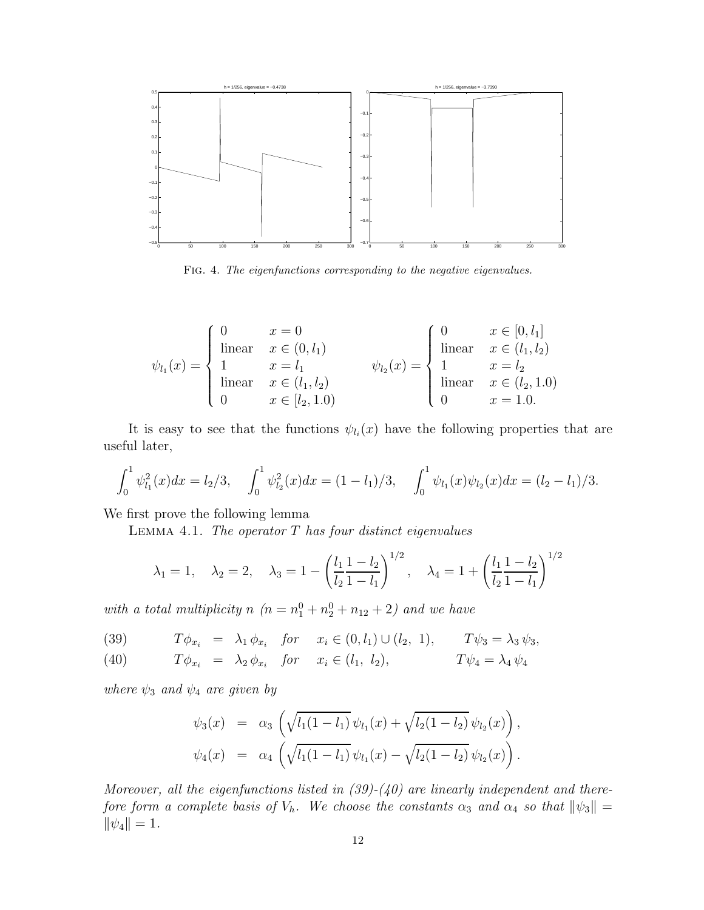

Fig. 4. The eigenfunctions corresponding to the negative eigenvalues.

$$
\psi_{l_1}(x) = \begin{cases}\n0 & x = 0 \\
\text{linear} & x \in (0, l_1) \\
1 & x = l_1 \\
\text{linear} & x \in (l_1, l_2) \\
0 & x \in [l_2, 1.0)\n\end{cases} \qquad\n\psi_{l_2}(x) = \begin{cases}\n0 & x \in [0, l_1] \\
\text{linear} & x \in (l_1, l_2) \\
1 & x = l_2 \\
\text{linear} & x \in (l_2, 1.0) \\
0 & x = 1.0\n\end{cases}
$$

It is easy to see that the functions  $\psi_{l_i}(x)$  have the following properties that are useful later,

$$
\int_0^1 \psi_{l_1}^2(x) dx = l_2/3, \quad \int_0^1 \psi_{l_2}^2(x) dx = (1 - l_1)/3, \quad \int_0^1 \psi_{l_1}(x) \psi_{l_2}(x) dx = (l_2 - l_1)/3.
$$

We first prove the following lemma

LEMMA 4.1. The operator  $T$  has four distinct eigenvalues

$$
\lambda_1 = 1, \quad \lambda_2 = 2, \quad \lambda_3 = 1 - \left(\frac{l_1}{l_2} \frac{1 - l_2}{1 - l_1}\right)^{1/2}, \quad \lambda_4 = 1 + \left(\frac{l_1}{l_2} \frac{1 - l_2}{1 - l_1}\right)^{1/2}
$$

with a total multiplicity n  $(n = n_1^0 + n_2^0 + n_{12} + 2)$  and we have

(39) 
$$
T\phi_{x_i} = \lambda_1 \phi_{x_i}
$$
 for  $x_i \in (0, l_1) \cup (l_2, 1)$ ,  $T\psi_3 = \lambda_3 \psi_3$ ,

(40) 
$$
T\phi_{x_i} = \lambda_2 \phi_{x_i} \quad \text{for} \quad x_i \in (l_1, l_2), \qquad T\psi_4 = \lambda_4 \psi_4
$$

where  $\psi_3$  and  $\psi_4$  are given by

$$
\psi_3(x) = \alpha_3 \left( \sqrt{l_1(1-l_1)} \psi_{l_1}(x) + \sqrt{l_2(1-l_2)} \psi_{l_2}(x) \right),
$$
  

$$
\psi_4(x) = \alpha_4 \left( \sqrt{l_1(1-l_1)} \psi_{l_1}(x) - \sqrt{l_2(1-l_2)} \psi_{l_2}(x) \right).
$$

Moreover, all the eigenfunctions listed in  $(39)-(40)$  are linearly independent and therefore form a complete basis of  $V_h$ . We choose the constants  $\alpha_3$  and  $\alpha_4$  so that  $\|\psi_3\| =$  $||\psi_4|| = 1.$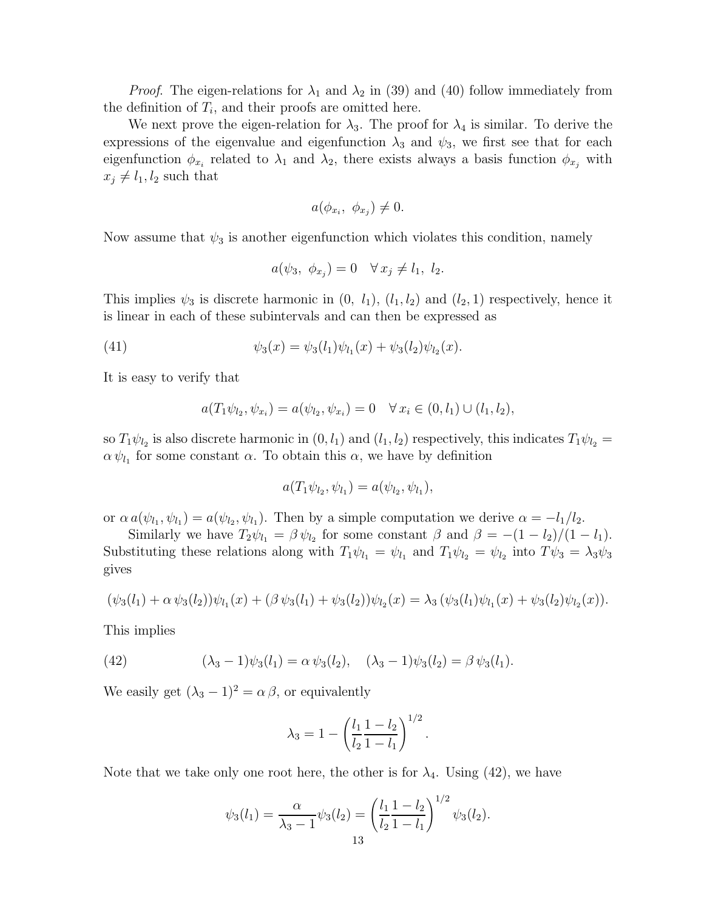*Proof.* The eigen-relations for  $\lambda_1$  and  $\lambda_2$  in (39) and (40) follow immediately from the definition of  $T_i$ , and their proofs are omitted here.

We next prove the eigen-relation for  $\lambda_3$ . The proof for  $\lambda_4$  is similar. To derive the expressions of the eigenvalue and eigenfunction  $\lambda_3$  and  $\psi_3$ , we first see that for each eigenfunction  $\phi_{x_i}$  related to  $\lambda_1$  and  $\lambda_2$ , there exists always a basis function  $\phi_{x_i}$  with  $x_j \neq l_1, l_2$  such that

$$
a(\phi_{x_i}, \ \phi_{x_j}) \neq 0.
$$

Now assume that  $\psi_3$  is another eigenfunction which violates this condition, namely

$$
a(\psi_3, \ \phi_{x_j}) = 0 \quad \forall x_j \neq l_1, \ l_2.
$$

This implies  $\psi_3$  is discrete harmonic in  $(0, l_1), (l_1, l_2)$  and  $(l_2, 1)$  respectively, hence it is linear in each of these subintervals and can then be expressed as

(41) 
$$
\psi_3(x) = \psi_3(l_1)\psi_{l_1}(x) + \psi_3(l_2)\psi_{l_2}(x).
$$

It is easy to verify that

$$
a(T_1\psi_{l_2}, \psi_{x_i}) = a(\psi_{l_2}, \psi_{x_i}) = 0 \quad \forall x_i \in (0, l_1) \cup (l_1, l_2),
$$

so  $T_1\psi_{l_2}$  is also discrete harmonic in  $(0, l_1)$  and  $(l_1, l_2)$  respectively, this indicates  $T_1\psi_{l_2} =$  $\alpha \psi_{l_1}$  for some constant  $\alpha$ . To obtain this  $\alpha$ , we have by definition

$$
a(T_1\psi_{l_2}, \psi_{l_1}) = a(\psi_{l_2}, \psi_{l_1}),
$$

or  $\alpha a(\psi_{l_1}, \psi_{l_1}) = a(\psi_{l_2}, \psi_{l_1})$ . Then by a simple computation we derive  $\alpha = -l_1/l_2$ .

Similarly we have  $T_2\psi_{l_1} = \beta \psi_{l_2}$  for some constant  $\beta$  and  $\beta = -(1 - l_2)/(1 - l_1)$ . Substituting these relations along with  $T_1\psi_{l_1} = \psi_{l_1}$  and  $T_1\psi_{l_2} = \psi_{l_2}$  into  $T\psi_3 = \lambda_3\psi_3$ gives

$$
(\psi_3(l_1) + \alpha \psi_3(l_2))\psi_{l_1}(x) + (\beta \psi_3(l_1) + \psi_3(l_2))\psi_{l_2}(x) = \lambda_3 (\psi_3(l_1)\psi_{l_1}(x) + \psi_3(l_2)\psi_{l_2}(x)).
$$

This implies

(42) 
$$
(\lambda_3 - 1)\psi_3(l_1) = \alpha \psi_3(l_2), \quad (\lambda_3 - 1)\psi_3(l_2) = \beta \psi_3(l_1).
$$

We easily get  $(\lambda_3 - 1)^2 = \alpha \beta$ , or equivalently

$$
\lambda_3 = 1 - \left(\frac{l_1}{l_2} \frac{1 - l_2}{1 - l_1}\right)^{1/2}
$$

.

Note that we take only one root here, the other is for  $\lambda_4$ . Using (42), we have

$$
\psi_3(l_1) = \frac{\alpha}{\lambda_3 - 1} \psi_3(l_2) = \left(\frac{l_1}{l_2} \frac{1 - l_2}{1 - l_1}\right)^{1/2} \psi_3(l_2).
$$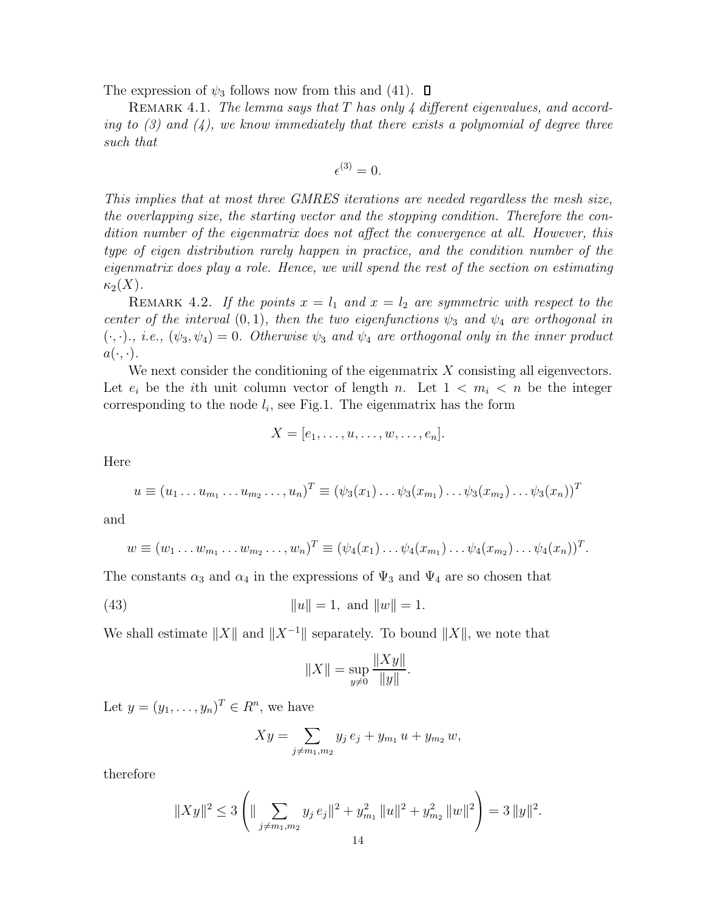The expression of  $\psi_3$  follows now from this and (41).  $\Box$ 

REMARK 4.1. The lemma says that T has only 4 different eigenvalues, and according to  $(3)$  and  $(4)$ , we know immediately that there exists a polynomial of degree three such that

$$
\epsilon^{(3)}=0.
$$

This implies that at most three GMRES iterations are needed regardless the mesh size, the overlapping size, the starting vector and the stopping condition. Therefore the condition number of the eigenmatrix does not affect the convergence at all. However, this type of eigen distribution rarely happen in practice, and the condition number of the eigenmatrix does play a role. Hence, we will spend the rest of the section on estimating  $\kappa_2(X)$ .

REMARK 4.2. If the points  $x = l_1$  and  $x = l_2$  are symmetric with respect to the center of the interval  $(0, 1)$ , then the two eigenfunctions  $\psi_3$  and  $\psi_4$  are orthogonal in  $(\cdot, \cdot)$ , *i.e.*,  $(\psi_3, \psi_4)=0$ . Otherwise  $\psi_3$  and  $\psi_4$  are orthogonal only in the inner product  $a(\cdot, \cdot).$ 

We next consider the conditioning of the eigenmatrix  $X$  consisting all eigenvectors. Let  $e_i$  be the *i*th unit column vector of length n. Let  $1 \lt m_i \lt n$  be the integer corresponding to the node  $l_i$ , see Fig.1. The eigenmatrix has the form

$$
X=[e_1,\ldots,u,\ldots,w,\ldots,e_n].
$$

Here

$$
u \equiv (u_1 \dots u_{m_1} \dots u_{m_2} \dots, u_n)^T \equiv (\psi_3(x_1) \dots \psi_3(x_{m_1}) \dots \psi_3(x_{m_2}) \dots \psi_3(x_n))^T
$$

and

$$
w \equiv (w_1 \ldots w_{m_1} \ldots w_{m_2} \ldots, w_n)^T \equiv (\psi_4(x_1) \ldots \psi_4(x_{m_1}) \ldots \psi_4(x_{m_2}) \ldots \psi_4(x_n))^{T}.
$$

The constants  $\alpha_3$  and  $\alpha_4$  in the expressions of  $\Psi_3$  and  $\Psi_4$  are so chosen that

(43) 
$$
||u|| = 1
$$
, and  $||w|| = 1$ .

We shall estimate  $||X||$  and  $||X^{-1}||$  separately. To bound  $||X||$ , we note that

$$
||X|| = \sup_{y \neq 0} \frac{||Xy||}{||y||}.
$$

Let  $y = (y_1, \ldots, y_n)^T \in R^n$ , we have

$$
Xy = \sum_{j \neq m_1, m_2} y_j e_j + y_{m_1} u + y_{m_2} w,
$$

therefore

$$
||Xy||^2 \le 3\left(||\sum_{j\neq m_1,m_2} y_j e_j||^2 + y_{m_1}^2 ||u||^2 + y_{m_2}^2 ||w||^2\right) = 3 ||y||^2.
$$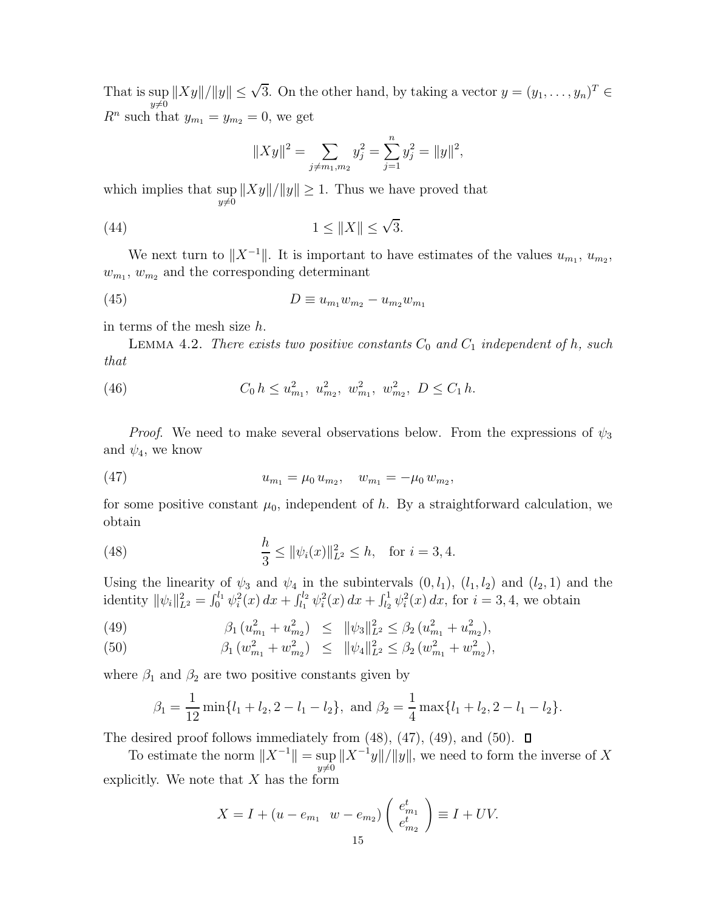That is sup  $||Xy||/||y|| \leq \sqrt{3}$ . On the other hand, by taking a vector  $y = (y_1, \ldots, y_n)^T \in$  $R^n$  such that  $y_{m_1} = y_{m_2} = 0$ , we get

$$
||Xy||^2 = \sum_{j \neq m_1, m_2} y_j^2 = \sum_{j=1}^n y_j^2 = ||y||^2,
$$

which implies that sup  $y\neq 0$  $||Xy||/||y|| \geq 1$ . Thus we have proved that

$$
(44) \t\t\t 1 \le \|X\| \le \sqrt{3}.
$$

We next turn to  $||X^{-1}||$ . It is important to have estimates of the values  $u_{m_1}, u_{m_2}$ ,  $w_{m_1}, w_{m_2}$  and the corresponding determinant

(45) 
$$
D \equiv u_{m_1} w_{m_2} - u_{m_2} w_{m_1}
$$

in terms of the mesh size h.

LEMMA 4.2. There exists two positive constants  $C_0$  and  $C_1$  independent of h, such that

(46) 
$$
C_0 h \le u_{m_1}^2, u_{m_2}^2, w_{m_1}^2, w_{m_2}^2, D \le C_1 h.
$$

*Proof.* We need to make several observations below. From the expressions of  $\psi_3$ and  $\psi_4$ , we know

(47) 
$$
u_{m_1} = \mu_0 u_{m_2}, \quad w_{m_1} = -\mu_0 w_{m_2},
$$

for some positive constant  $\mu_0$ , independent of h. By a straightforward calculation, we obtain

(48) 
$$
\frac{h}{3} \le ||\psi_i(x)||_{L^2}^2 \le h, \text{ for } i = 3, 4.
$$

Using the linearity of  $\psi_3$  and  $\psi_4$  in the subintervals  $(0, l_1), (l_1, l_2)$  and  $(l_2, 1)$  and the identity  $\|\psi_i\|_{L^2}^2 = \int_0^{l_1} \psi_i^2(x) dx + \int_{l_1}^{l_2} \psi_i^2(x) dx + \int_{l_2}^{1} \psi_i^2(x) dx$ , for  $i = 3, 4$ , we obtain

(49) 
$$
\beta_1 (u_{m_1}^2 + u_{m_2}^2) \leq \|\psi_3\|_{L^2}^2 \leq \beta_2 (u_{m_1}^2 + u_{m_2}^2),
$$

(50) 
$$
\beta_1 (w_{m_1}^2 + w_{m_2}^2) \leq \|\psi_4\|_{L^2}^2 \leq \beta_2 (w_{m_1}^2 + w_{m_2}^2),
$$

where  $\beta_1$  and  $\beta_2$  are two positive constants given by

$$
\beta_1 = \frac{1}{12} \min\{l_1 + l_2, 2 - l_1 - l_2\}, \text{ and } \beta_2 = \frac{1}{4} \max\{l_1 + l_2, 2 - l_1 - l_2\}.
$$

The desired proof follows immediately from  $(48)$ ,  $(47)$ ,  $(49)$ , and  $(50)$ .  $\Box$ 

To estimate the norm  $||X^{-1}|| = \sup$  $y\neq 0$  $||X^{-1}y||/||y||$ , we need to form the inverse of X explicitly. We note that  $X$  has the form

$$
X = I + (u - e_{m_1} \ w - e_{m_2}) \begin{pmatrix} e_{m_1}^t \\ e_{m_2}^t \end{pmatrix} \equiv I + UV.
$$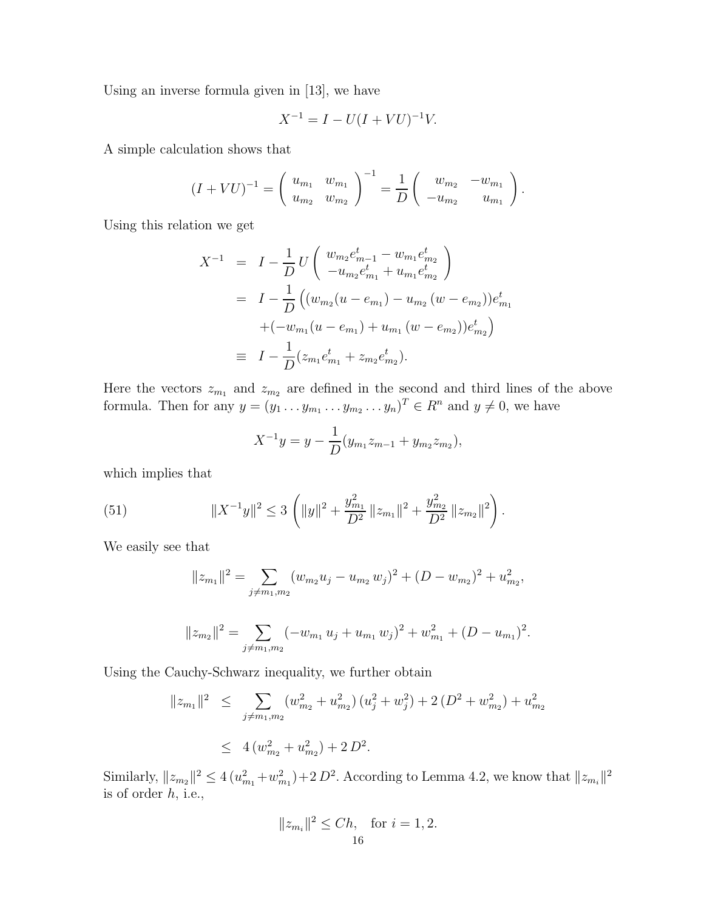Using an inverse formula given in [13], we have

$$
X^{-1} = I - U(I + VU)^{-1}V.
$$

A simple calculation shows that

$$
(I+VU)^{-1} = \begin{pmatrix} u_{m_1} & w_{m_1} \\ u_{m_2} & w_{m_2} \end{pmatrix}^{-1} = \frac{1}{D} \begin{pmatrix} w_{m_2} & -w_{m_1} \\ -u_{m_2} & u_{m_1} \end{pmatrix}.
$$

Using this relation we get

$$
X^{-1} = I - \frac{1}{D} U \left( \begin{array}{c} w_{m_2} e_{m-1}^t - w_{m_1} e_{m_2}^t \\ -u_{m_2} e_{m_1}^t + u_{m_1} e_{m_2}^t \end{array} \right)
$$
  
=  $I - \frac{1}{D} \left( (w_{m_2} (u - e_{m_1}) - u_{m_2} (w - e_{m_2})) e_{m_1}^t + (-w_{m_1} (u - e_{m_1}) + u_{m_1} (w - e_{m_2})) e_{m_2}^t \right)$   
=  $I - \frac{1}{D} (z_{m_1} e_{m_1}^t + z_{m_2} e_{m_2}^t).$ 

Here the vectors  $z_{m_1}$  and  $z_{m_2}$  are defined in the second and third lines of the above formula. Then for any  $y = (y_1 \dots y_{m_1} \dots y_{m_2} \dots y_n)^T \in R^n$  and  $y \neq 0$ , we have

$$
X^{-1}y = y - \frac{1}{D}(y_{m_1}z_{m-1} + y_{m_2}z_{m_2}),
$$

which implies that

(51) 
$$
||X^{-1}y||^2 \leq 3 \left(||y||^2 + \frac{y_{m_1}^2}{D^2} ||z_{m_1}||^2 + \frac{y_{m_2}^2}{D^2} ||z_{m_2}||^2\right).
$$

We easily see that

$$
||z_{m_1}||^2 = \sum_{j \neq m_1, m_2} (w_{m_2}u_j - u_{m_2}w_j)^2 + (D - w_{m_2})^2 + u_{m_2}^2,
$$
  

$$
||z_{m_2}||^2 = \sum_{j \neq m_1, m_2} (-w_{m_1}u_j + u_{m_1}w_j)^2 + w_{m_1}^2 + (D - u_{m_1})^2.
$$

Using the Cauchy-Schwarz inequality, we further obtain

$$
||z_{m_1}||^2 \leq \sum_{j \neq m_1, m_2} (w_{m_2}^2 + u_{m_2}^2) (u_j^2 + w_j^2) + 2 (D^2 + w_{m_2}^2) + u_{m_2}^2
$$
  
 
$$
\leq 4 (w_{m_2}^2 + u_{m_2}^2) + 2 D^2.
$$

Similarly,  $||z_{m_2}||^2 \le 4(u_{m_1}^2 + w_{m_1}^2) + 2 D^2$ . According to Lemma 4.2, we know that  $||z_{m_i}||^2$ is of order h, i.e.,

$$
||z_{m_i}||^2 \leq Ch
$$
, for  $i = 1, 2$ .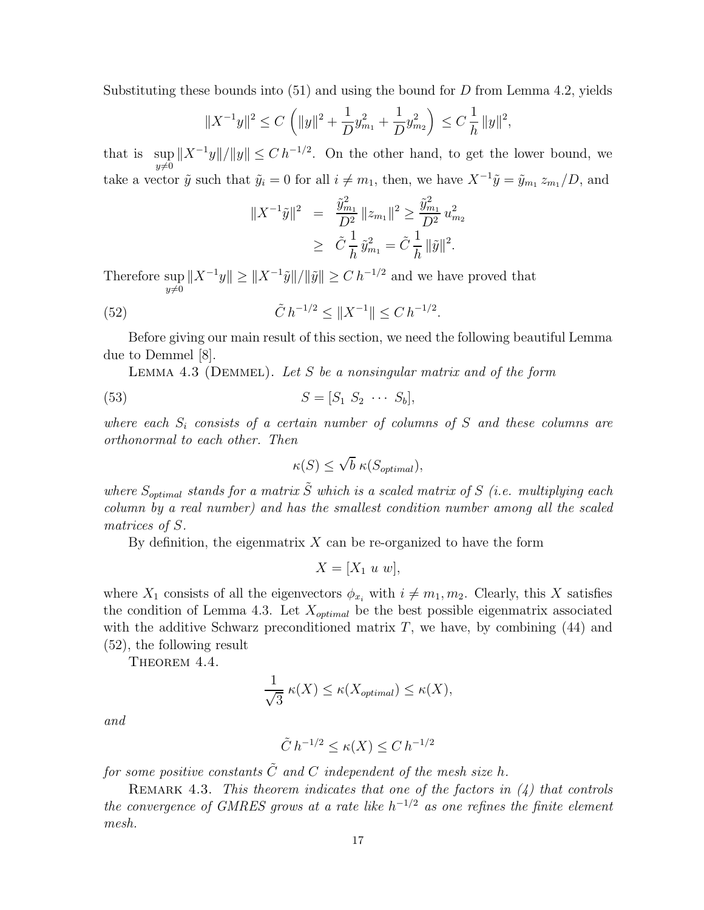Substituting these bounds into  $(51)$  and using the bound for D from Lemma 4.2, yields

$$
||X^{-1}y||^2 \le C \left(||y||^2 + \frac{1}{D}y_{m_1}^2 + \frac{1}{D}y_{m_2}^2\right) \le C \frac{1}{h} ||y||^2,
$$

that is sup  $||X^{-1}y||/||y|| \leq C h^{-1/2}$ . On the other hand, to get the lower bound, we  $y\neq 0$ take a vector  $\tilde{y}$  such that  $\tilde{y}_i = 0$  for all  $i \neq m_1$ , then, we have  $X^{-1}\tilde{y} = \tilde{y}_{m_1} z_{m_1}/D$ , and

$$
||X^{-1}\tilde{y}||^2 = \frac{\tilde{y}_{m_1}^2}{D^2} ||z_{m_1}||^2 \ge \frac{\tilde{y}_{m_1}^2}{D^2} u_{m_2}^2
$$
  
 
$$
\ge \tilde{C} \frac{1}{h} \tilde{y}_{m_1}^2 = \tilde{C} \frac{1}{h} ||\tilde{y}||^2.
$$

Therefore sup  $y\neq 0$  $||X^{-1}y|| \ge ||X^{-1}\tilde{y}||/||\tilde{y}|| \ge C h^{-1/2}$  and we have proved that

(52) 
$$
\tilde{C} h^{-1/2} \le ||X^{-1}|| \le C h^{-1/2}.
$$

Before giving our main result of this section, we need the following beautiful Lemma due to Demmel [8].

LEMMA 4.3 (DEMMEL). Let S be a nonsingular matrix and of the form

$$
(53) \t\t S = [S_1 \ S_2 \ \cdots \ S_b],
$$

where each  $S_i$  consists of a certain number of columns of S and these columns are orthonormal to each other. Then

$$
\kappa(S) \le \sqrt{b} \; \kappa(S_{optimal}),
$$

where  $S_{optimal}$  stands for a matrix  $\tilde{S}$  which is a scaled matrix of S (i.e. multiplying each column by a real number) and has the smallest condition number among all the scaled matrices of S.

By definition, the eigenmatrix  $X$  can be re-organized to have the form

$$
X = [X_1 \ u \ w],
$$

where  $X_1$  consists of all the eigenvectors  $\phi_{x_i}$  with  $i \neq m_1, m_2$ . Clearly, this X satisfies the condition of Lemma 4.3. Let  $X_{optimal}$  be the best possible eigenmatrix associated with the additive Schwarz preconditioned matrix  $T$ , we have, by combining  $(44)$  and (52), the following result

THEOREM 4.4.

$$
\frac{1}{\sqrt{3}} \kappa(X) \le \kappa(X_{optimal}) \le \kappa(X),
$$

and

$$
\tilde{C} h^{-1/2} \le \kappa(X) \le C h^{-1/2}
$$

for some positive constants  $\tilde{C}$  and C independent of the mesh size h.

REMARK 4.3. This theorem indicates that one of the factors in  $(4)$  that controls the convergence of GMRES grows at a rate like  $h^{-1/2}$  as one refines the finite element mesh.